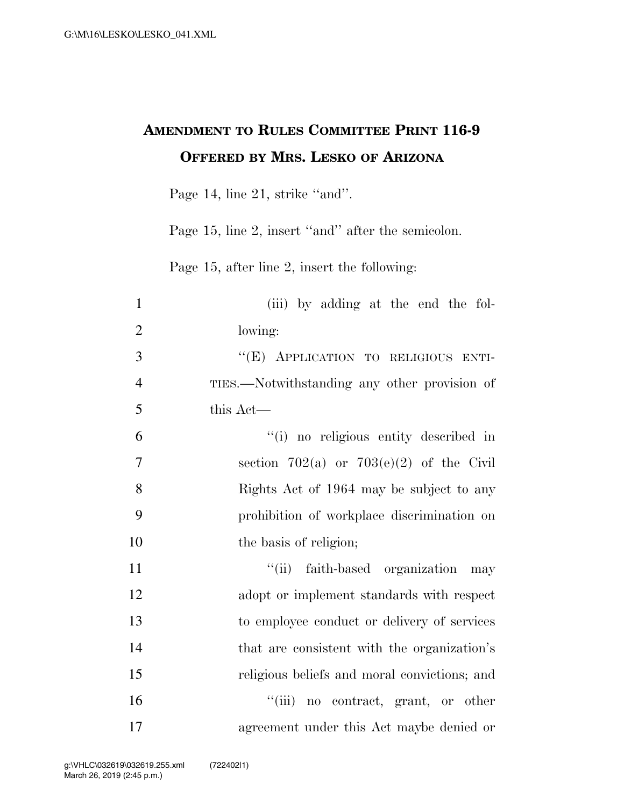## **AMENDMENT TO RULES COMMITTEE PRINT 116-9 OFFERED BY MRS. LESKO OF ARIZONA**

Page 14, line 21, strike "and".

Page 15, line 2, insert "and" after the semicolon.

Page 15, after line 2, insert the following:

| (iii) by adding at the end the fol-          |
|----------------------------------------------|
| lowing:                                      |
| "(E) APPLICATION TO RELIGIOUS ENTI-          |
| TIES.—Notwithstanding any other provision of |
| this Act-                                    |
| "(i) no religious entity described in        |
| section 702(a) or 703(e)(2) of the Civil     |
| Rights Act of 1964 may be subject to any     |
| prohibition of workplace discrimination on   |
| the basis of religion;                       |
| "(ii) faith-based organization may           |
| adopt or implement standards with respect    |
| to employee conduct or delivery of services  |
| that are consistent with the organization's  |
| religious beliefs and moral convictions; and |
| "(iii) no contract, grant, or other          |
| agreement under this Act maybe denied or     |
|                                              |